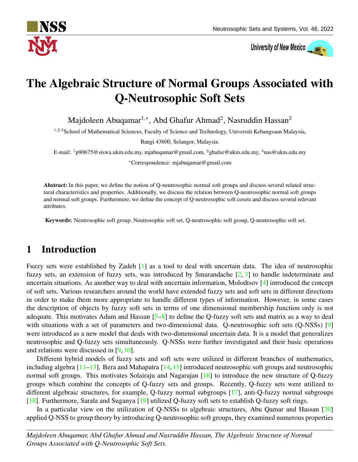

University of New Mexico

# The Algebraic Structure of Normal Groups Associated with Q-Neutrosophic Soft Sets

Majdoleen Abuqamar $^{1,*}$ , Abd Ghafur Ahmad $^2$ , Nasruddin Hassan $^3$ 

<sup>1,2,3</sup>School of Mathematical Sciences, Faculty of Science and Technology, Universiti Kebangsaan Malaysia,

Bangi 43600, Selangor, Malaysia.

E-mail:  $1p90675@siswa.ukm.edu.my, mjabuqamar@gmail.com, 2ghafur@ukm.edu.my, 3nas@ukm.edu.my, 3p.$ 

<sup>∗</sup>Correspondence: mjabuqamar@gmail.com

Abstract: In this paper, we define the notion of Q-neutrosophic normal soft groups and discuss several related structural characteristics and properties. Additionally, we discuss the relation between Q-neutrosophic normal soft groups and normal soft groups. Furthermore, we define the concept of Q-neutrosophic soft cosets and discuss several relevant attributes.

Keywords: Neutrosophic soft group, Neutrosophic soft set, Q-neutrosophic soft group, Q-neutrosophic soft set.

# 1 Introduction

Fuzzy sets were established by Zadeh [\[1\]](#page-9-0) as a tool to deal with uncertain data. The idea of neutrosophic fuzzy sets, an extension of fuzzy sets, was introduced by Smarandache  $\lceil 2, 3 \rceil$  to handle indeterminate and uncertain situations. As another way to deal with uncertain information, Molodtsov [\[4\]](#page-9-3) introduced the concept of soft sets. Various researchers around the world have extended fuzzy sets and soft sets in different directions in order to make them more appropriate to handle different types of information. However, in some cases the description of objects by fuzzy soft sets in terms of one dimensional membership function only is not adequate. This motivates Adam and Hassan  $[5-8]$  $[5-8]$  to define the Q-fuzzy soft sets and matrix as a way to deal with situations with a set of parameters and two-dimensional data. Q-neutrosophic soft sets (Q-NSSs) [\[9\]](#page-9-6) were introduced as a new model that deals with two-dimensional uncertain data. It is a model that generalizes neutrosophic and Q-fuzzy sets simultaneously. Q-NSSs were further investigated and their basic operations and relations were discussed in [\[9,](#page-9-6) [10\]](#page-9-7).

Different hybrid models of fuzzy sets and soft sets were utilized in different branches of mathematics, including algebra  $[11-13]$  $[11-13]$ . Bera and Mahapatra  $[14,15]$  $[14,15]$  introduced neutrosophic soft groups and neutrosophic normal soft groups. This motivates Solairaju and Nagarajan [\[16\]](#page-9-12) to introduce the new structure of Q-fuzzy groups which combine the concepts of Q-fuzzy sets and groups. Recently, Q-fuzzy sets were utilized to different algebraic structures, for example, Q-fuzzy normal subgroups [\[17\]](#page-9-13), anti-Q-fuzzy normal subgroups [\[18\]](#page-9-14). Furthermore, Sarala and Suganya [\[19\]](#page-9-15) utilized Q-fuzzy soft sets to establish Q-fuzzy soft rings.

In a particular view on the utilization of Q-NSSs to algebraic structures, Abu Qamar and Hassan [\[20\]](#page-9-16) applied Q-NSS to group theory by introducing Q-neutrosophic soft groups, they examined numerous properties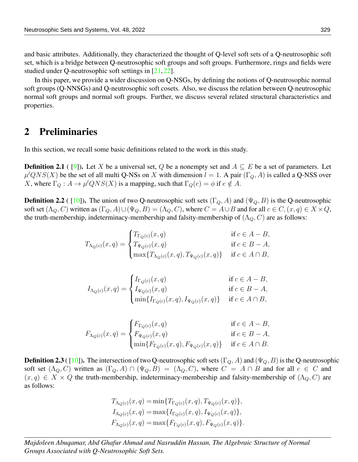and basic attributes. Additionally, they characterized the thought of Q-level soft sets of a Q-neutrosophic soft set, which is a bridge between Q-neutrosophic soft groups and soft groups. Furthermore, rings and fields were studied under Q-neutrosophic soft settings in [\[21,](#page-10-0) [22\]](#page-10-1).

In this paper, we provide a wider discussion on Q-NSGs, by defining the notions of Q-neutrosophic normal soft groups (Q-NNSGs) and Q-neutrosophic soft cosets. Also, we discuss the relation between Q-neutrosophic normal soft groups and normal soft groups. Further, we discuss several related structural characteristics and properties.

#### 2 Preliminaries

In this section, we recall some basic definitions related to the work in this study.

**Definition 2.1** ( [\[9\]](#page-9-6)). Let X be a universal set, Q be a nonempty set and  $A \subseteq E$  be a set of parameters. Let  $\mu^l QNS(X)$  be the set of all multi Q-NSs on X with dimension  $l = 1$ . A pair  $(\Gamma_Q, A)$  is called a Q-NSS over X, where  $\Gamma_Q: A \to \mu^l QNS(X)$  is a mapping, such that  $\Gamma_Q(e) = \phi$  if  $e \notin A$ .

**Definition 2.2** ( [\[10\]](#page-9-7)). The union of two Q-neutrosophic soft sets  $(\Gamma_Q, A)$  and  $(\Psi_Q, B)$  is the Q-neutrosophic soft set  $(\Lambda_Q, C)$  written as  $(\Gamma_Q, A) \cup (\Psi_Q, B) = (\Lambda_Q, C)$ , where  $C = A \cup B$  and for all  $c \in C$ ,  $(x, q) \in X \times Q$ , the truth-membership, indeterminacy-membership and falsity-membership of  $(\Lambda_Q, C)$  are as follows:

$$
T_{\Lambda_Q(c)}(x,q) = \begin{cases} T_{\Gamma_Q(c)}(x,q) & \text{if } c \in A - B, \\ T_{\Psi_Q(c)}(x,q) & \text{if } c \in B - A, \\ \max\{T_{\Lambda_Q(c)}(x,q), T_{\Psi_Q(c)}(x,q)\} & \text{if } c \in A \cap B, \end{cases}
$$

$$
I_{\Lambda_Q(c)}(x,q)=\begin{cases} I_{\Gamma_Q(c)}(x,q) & \text{if }c\in A-B,\\ I_{\Psi_Q(c)}(x,q) & \text{if }c\in B-A,\\ \min\{I_{\Gamma_Q(c)}(x,q),I_{\Psi_Q(c)}(x,q)\} & \text{if }c\in A\cap B,\end{cases}
$$

$$
F_{\Lambda_Q(c)}(x,q) = \begin{cases} F_{\Gamma_Q(c)}(x,q) & \text{if } c \in A - B, \\ F_{\Psi_Q(c)}(x,q) & \text{if } c \in B - A, \\ \min\{F_{\Gamma_Q(c)}(x,q), F_{\Psi_Q(c)}(x,q)\} & \text{if } c \in A \cap B. \end{cases}
$$

**Definition 2.3** ([\[10\]](#page-9-7)). The intersection of two Q-neutrosophic soft sets (Γ<sub>Q</sub>, A) and ( $\Psi$ <sub>Q</sub>, B) is the Q-neutrosophic soft set  $(\Lambda_Q, C)$  written as  $(\Gamma_Q, A) \cap (\Psi_Q, B) = (\Lambda_Q, C)$ , where  $C = A \cap B$  and for all  $c \in C$  and  $(x, q) \in X \times Q$  the truth-membership, indeterminacy-membership and falsity-membership of  $(\Lambda_Q, C)$  are as follows:

$$
T_{\Lambda_Q(c)}(x,q) = \min\{T_{\Gamma_Q(c)}(x,q), T_{\Psi_Q(c)}(x,q)\},
$$
  
\n
$$
I_{\Lambda_Q(c)}(x,q) = \max\{I_{\Gamma_Q(c)}(x,q), I_{\Psi_Q(c)}(x,q)\},
$$
  
\n
$$
F_{\Lambda_Q(c)}(x,q) = \max\{F_{\Gamma_Q(c)}(x,q), F_{\Psi_Q(c)}(x,q)\}.
$$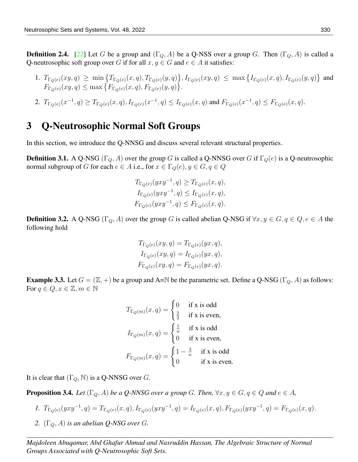**Definition 2.4.** [\[22\]](#page-10-1) Let G be a group and  $(\Gamma_Q, A)$  be a Q-NSS over a group G. Then  $(\Gamma_Q, A)$  is called a Q-neutrosophic soft group over G if for all  $x, y \in G$  and  $e \in A$  it satisfies:

- 1.  $T_{\Gamma_Q(e)}(xy,q) \ge \min \left\{ T_{\Gamma_Q(e)}(x,q), T_{\Gamma_Q(e)}(y,q) \right\}, I_{\Gamma_Q(e)}(xy,q) \le \max \left\{ I_{\Gamma_Q(e)}(x,q), I_{\Gamma_Q(e)}(y,q) \right\}$  and  $F_{\Gamma_Q(e)}(xy,q) \le \max\big\{F_{\Gamma_Q(e)}(x,q), F_{\Gamma_Q(e)}(y,q)\big\}.$
- 2.  $T_{\Gamma_Q(e)}(x^{-1},q) \ge T_{\Gamma_Q(e)}(x,q), I_{\Gamma_Q(e)}(x^{-1},q) \le I_{\Gamma_Q(e)}(x,q)$  and  $F_{\Gamma_Q(e)}(x^{-1},q) \le F_{\Gamma_Q(e)}(x,q)$ .

### 3 Q-Neutrosophic Normal Soft Groups

<span id="page-2-0"></span>In this section, we introduce the Q-NNSG and discuss several relevant structural properties.

**Definition 3.1.** A Q-NSG ( $\Gamma_Q$ , A) over the group G is called a Q-NNSG over G if  $\Gamma_Q(e)$  is a Q-neutrosophic normal subgroup of G for each  $e \in A$  i.e., for  $x \in \Gamma_Q(e), y \in G, q \in Q$ 

$$
T_{\Gamma_Q(e)}(yxy^{-1}, q) \geq T_{\Gamma_Q(e)}(x, q),
$$
  
\n
$$
I_{\Gamma_Q(e)}(yxy^{-1}, q) \leq I_{\Gamma_Q(e)}(x, q),
$$
  
\n
$$
F_{\Gamma_Q(e)}(yxy^{-1}, q) \leq F_{\Gamma_Q(e)}(x, q).
$$

**Definition 3.2.** A Q-NSG ( $\Gamma_Q$ , A) over the group G is called abelian Q-NSG if  $\forall x, y \in G, q \in Q, e \in A$  the following hold

$$
T_{\Gamma_Q(e)}(xy, q) = T_{\Gamma_Q(e)}(yx, q),
$$
  
\n
$$
I_{\Gamma_Q(e)}(xy, q) = I_{\Gamma_Q(e)}(yx, q),
$$
  
\n
$$
F_{\Gamma_Q(e)}(xy, q) = F_{\Gamma_Q(e)}(yx, q).
$$

**Example 3.3.** Let  $G = (\mathbb{Z}, +)$  be a group and A=N be the parametric set. Define a Q-NSG ( $\Gamma_Q$ , A) as follows: For  $q \in Q, x \in \mathbb{Z}, m \in \mathbb{N}$ 

$$
T_{\Gamma_Q(m)}(x,q) = \begin{cases} 0 & \text{if } x \text{ is odd} \\ \frac{2}{3} & \text{if } x \text{ is even,} \end{cases}
$$

$$
I_{\Gamma_Q(m)}(x,q) = \begin{cases} \frac{1}{n} & \text{if } x \text{ is odd} \\ 0 & \text{if } x \text{ is even,} \end{cases}
$$

$$
F_{\Gamma_Q(m)}(x,q) = \begin{cases} 1 - \frac{3}{n} & \text{if } x \text{ is odd} \\ 0 & \text{if } x \text{ is even.} \end{cases}
$$

It is clear that  $(\Gamma_Q, \mathbb{N})$  is a Q-NNSG over G.

**Proposition 3.4.** Let  $(\Gamma_Q, A)$  be a Q-NNSG over a group G. Then,  $\forall x, y \in G, q \in Q$  and  $e \in A$ ,

- *1.*  $T_{\Gamma_Q(e)}(yxy^{-1},q) = T_{\Gamma_Q(e)}(x,q), I_{\Gamma_Q(e)}(yxy^{-1},q) = I_{\Gamma_Q(e)}(x,q), F_{\Gamma_Q(e)}(yxy^{-1},q) = F_{\Gamma_Q(e)}(x,q).$
- *2.*  $(\Gamma_Q, A)$  *is an abelian Q-NSG over G.*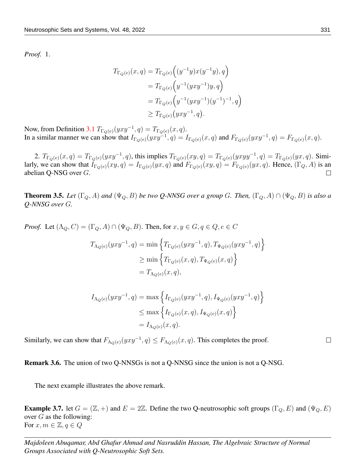*Proof.* 1.

$$
T_{\Gamma_Q(e)}(x,q) = T_{\Gamma_Q(e)}\Big((y^{-1}y)x(y^{-1}y), q\Big)
$$
  
=  $T_{\Gamma_Q(e)}\Big(y^{-1}(yxy^{-1})y, q\Big)$   
=  $T_{\Gamma_Q(e)}\Big(y^{-1}(yxy^{-1})(y^{-1})^{-1}, q\Big)$   
 $\geq T_{\Gamma_Q(e)}\Big(yxy^{-1}, q\Big).$ 

Now, from Definition [3.1](#page-2-0)  $T_{\Gamma_Q(e)}(yxy^{-1}, q) = T_{\Gamma_Q(e)}(x, q)$ . In a similar manner we can show that  $I_{\Gamma_Q(e)}(yxy^{-1},q) = I_{\Gamma_Q(e)}(x,q)$  and  $F_{\Gamma_Q(e)}(yxy^{-1},q) = F_{\Gamma_Q(e)}(x,q)$ .

2.  $T_{\Gamma_Q(e)}(x,q) = T_{\Gamma_Q(e)}(yxy^{-1}, q)$ , this implies  $T_{\Gamma_Q(e)}(xy,q) = T_{\Gamma_Q(e)}(yxyy^{-1}, q) = T_{\Gamma_Q(e)}(yx,q)$ . Similarly, we can show that  $I_{\Gamma_Q(e)}(xy, q) = I_{\Gamma_Q(e)}(yx, q)$  and  $F_{\Gamma_Q(e)}(xy, q) = F_{\Gamma_Q(e)}(yx, q)$ . Hence,  $(\Gamma_Q, A)$  is an abelian Q-NSG over G.  $\Box$ 

**Theorem 3.5.** *Let*  $(\Gamma_Q, A)$  *and*  $(\Psi_Q, B)$  *be two Q-NNSG over a group* G. Then,  $(\Gamma_Q, A) \cap (\Psi_Q, B)$  *is also a Q-NNSG over* G*.*

*Proof.* Let  $(\Lambda_Q, C) = (\Gamma_Q, A) \cap (\Psi_Q, B)$ . Then, for  $x, y \in G, q \in Q, e \in C$ 

$$
T_{\Lambda_Q(e)}(yxy^{-1}, q) = \min \left\{ T_{\Gamma_Q(e)}(yxy^{-1}, q), T_{\Psi_Q(e)}(yxy^{-1}, q) \right\}
$$
  
\n
$$
\geq \min \left\{ T_{\Gamma_Q(e)}(x, q), T_{\Psi_Q(e)}(x, q) \right\}
$$
  
\n
$$
= T_{\Lambda_Q(e)}(x, q),
$$

$$
I_{\Lambda_Q(e)}(yxy^{-1}, q) = \max \left\{ I_{\Gamma_Q(e)}(yxy^{-1}, q), I_{\Psi_Q(e)}(yxy^{-1}, q) \right\}
$$
  

$$
\leq \max \left\{ I_{\Gamma_Q(e)}(x, q), I_{\Psi_Q(e)}(x, q) \right\}
$$
  

$$
= I_{\Lambda_Q(e)}(x, q).
$$

Similarly, we can show that  $F_{\Lambda_Q(e)}(yxy^{-1}, q) \leq F_{\Lambda_Q(e)}(x, q)$ . This completes the proof.

Remark 3.6. The union of two Q-NNSGs is not a Q-NNSG since the union is not a Q-NSG.

The next example illustrates the above remark.

**Example 3.7.** let  $G = (\mathbb{Z}, +)$  and  $E = 2\mathbb{Z}$ . Define the two Q-neutrosophic soft groups  $(\Gamma_Q, E)$  and  $(\Psi_Q, E)$ over  $G$  as the following: For  $x, m \in \mathbb{Z}, q \in Q$ 

*Majdoleen Abuqamar, Abd Ghafur Ahmad and Nasruddin Hassan, The Algebraic Structure of Normal Groups Associated with Q-Neutrosophic Soft Sets.*

 $\Box$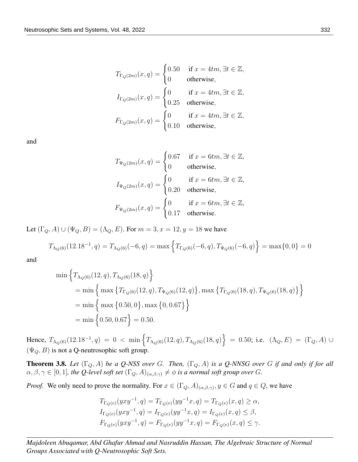$$
T_{\Gamma_Q(2m)}(x,q) = \begin{cases} 0.50 & \text{if } x = 4tm, \exists t \in \mathbb{Z}, \\ 0 & \text{otherwise}, \end{cases}
$$
  
\n
$$
I_{\Gamma_Q(2m)}(x,q) = \begin{cases} 0 & \text{if } x = 4tm, \exists t \in \mathbb{Z}, \\ 0.25 & \text{otherwise}, \end{cases}
$$
  
\n
$$
F_{\Gamma_Q(2m)}(x,q) = \begin{cases} 0 & \text{if } x = 4tm, \exists t \in \mathbb{Z}, \\ 0.10 & \text{otherwise}, \end{cases}
$$

and

$$
T_{\Psi_Q(2m)}(x,q) = \begin{cases} 0.67 & \text{if } x = 6tm, \exists t \in \mathbb{Z}, \\ 0 & \text{otherwise}, \end{cases}
$$
  

$$
I_{\Psi_Q(2m)}(x,q) = \begin{cases} 0 & \text{if } x = 6tm, \exists t \in \mathbb{Z}, \\ 0.20 & \text{otherwise}, \end{cases}
$$
  

$$
F_{\Psi_Q(2m)}(x,q) = \begin{cases} 0 & \text{if } x = 6tm, \exists t \in \mathbb{Z}, \\ 0.17 & \text{otherwise}. \end{cases}
$$

Let  $(\Gamma_Q, A) \cup (\Psi_Q, B) = (\Lambda_Q, E)$ . For  $m = 3, x = 12, y = 18$  we have

$$
T_{\Lambda_Q(6)}(12.18^{-1},q) = T_{\Lambda_Q(6)}(-6,q) = \max\left\{T_{\Gamma_Q(6)}(-6,q), T_{\Psi_Q(6)}(-6,q)\right\} = \max\{0,0\} = 0
$$

and

$$
\min \left\{ T_{\Lambda_Q(6)}(12,q), T_{\Lambda_Q(6)}(18,q) \right\}
$$
  
= min  $\left\{ \max \left\{ T_{\Gamma_Q(6)}(12,q), T_{\Psi_Q(6)}(12,q) \right\}, \max \left\{ T_{\Gamma_Q(6)}(18,q), T_{\Psi_Q(6)}(18,q) \right\} \right\}$   
= min  $\left\{ \max \left\{ 0.50, 0 \right\}, \max \left\{ 0, 0.67 \right\} \right\}$   
= min  $\left\{ 0.50, 0.67 \right\}$  = 0.50.

Hence,  $T_{\Lambda_Q(6)}(12.18^{-1}, q) = 0$  < min  $\left\{T_{\Lambda_Q(6)}(12, q), T_{\Lambda_Q(6)}(18, q)\right\} = 0.50$ ; i.e.  $(\Lambda_Q, E) = (\Gamma_Q, A) \cup$  $(\Psi_Q, B)$  is not a Q-neutrosophic soft group.

**Theorem 3.8.** Let  $(\Gamma_Q, A)$  be a Q-NSS over G. Then,  $(\Gamma_Q, A)$  is a Q-NNSG over G if and only if for all  $\alpha, \beta, \gamma \in [0, 1]$ *, the Q-level soft set*  $(\Gamma_Q, A)_{(\alpha, \beta, \gamma)} \neq \phi$  *is a normal soft group over G.* 

*Proof.* We only need to prove the normality. For  $x \in (\Gamma_Q, A)_{(\alpha,\beta,\gamma)}, y \in G$  and  $q \in Q$ , we have

$$
T_{\Gamma_Q(e)}(yxy^{-1},q) = T_{\Gamma_Q(e)}(yy^{-1}x,q) = T_{\Gamma_Q(e)}(x,q) \ge \alpha,
$$
  
\n
$$
I_{\Gamma_Q(e)}(yxy^{-1},q) = I_{\Gamma_Q(e)}(yy^{-1}x,q) = I_{\Gamma_Q(e)}(x,q) \le \beta,
$$
  
\n
$$
F_{\Gamma_Q(e)}(yxy^{-1},q) = F_{\Gamma_Q(e)}(yy^{-1}x,q) = F_{\Gamma_Q(e)}(x,q) \le \gamma.
$$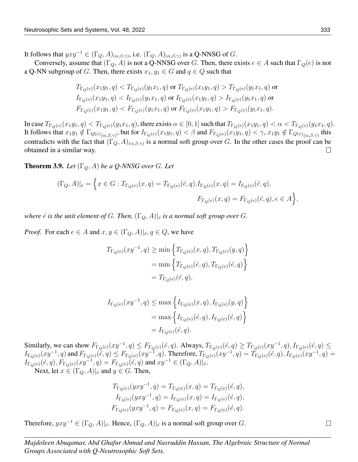It follows that  $yxy^{-1} \in (\Gamma_Q, A)_{(\alpha, \beta, \gamma)}$ , i.e.  $(\Gamma_Q, A)_{(\alpha, \beta, \gamma)}$  is a Q-NNSG of G.

Conversely, assume that  $(\Gamma_Q, A)$  is not a Q-NNSG over G. Then, there exists  $e \in A$  such that  $\Gamma_Q(e)$  is not a Q-NN subgroup of G. Then, there exists  $x_1, y_1 \in G$  and  $q \in Q$  such that

$$
T_{\Gamma_Q(e)}(x_1y_1, q) < T_{\Gamma_Q(e)}(y_1x_1, q) \text{ or } T_{\Gamma_Q(e)}(x_1y_1, q) > T_{\Gamma_Q(e)}(y_1x_1, q) \text{ or } T_{\Gamma_Q(e)}(x_1y_1, q) < T_{\Gamma_Q(e)}(y_1x_1, q) \text{ or } T_{\Gamma_Q(e)}(x_1y_1, q) > T_{\Gamma_Q(e)}(y_1x_1, q) \text{ or } T_{\Gamma_Q(e)}(x_1y_1, q) < T_{\Gamma_Q(e)}(y_1x_1, q) \text{ or } T_{\Gamma_Q(e)}(x_1y_1, q) > F_{\Gamma_Q(e)}(y_1x_1, q).
$$

In case  $T_{\Gamma_Q(e)}(x_1y_1, q) < T_{\Gamma_Q(e)}(y_1x_1, q)$ , there exists  $\alpha \in [0, 1]$  such that  $T_{\Gamma_Q(e)}(x_1y_1, q) < \alpha < T_{\Gamma_Q(e)}(y_1x_1, q)$ . It follows that  $x_1y_1 \notin \Gamma_{Q(e)}_{(\alpha,\beta,\gamma)}$ , but for  $I_{\Gamma_Q(e)}(x_1y_1,q) < \beta$  and  $F_{\Gamma_Q(e)}(x_1y_1,q) < \gamma$ ,  $x_1y_1 \notin \Gamma_{Q(e)}_{(\alpha,\beta,\gamma)}$  this contradicts with the fact that  $(\Gamma_Q, A)_{(\alpha,\beta,\gamma)}$  is a normal soft group over G. In the other cases the proof can be obtained in a similar way.  $\Box$ 

**Theorem 3.9.** *Let*  $(\Gamma_Q, A)$  *be a Q-NNSG over G. Let* 

$$
(\Gamma_Q, A)|_{\acute{e}} = \Big\{ x \in G : T_{\Gamma_Q(e)}(x, q) = T_{\Gamma_Q(e)}(\acute{e}, q), I_{\Gamma_Q(e)}(x, q) = I_{\Gamma_Q(e)}(\acute{e}, q),
$$
  

$$
F_{\Gamma_Q(e)}(x, q) = F_{\Gamma_Q(e)}(\acute{e}, q), e \in A \Big\},
$$

*where*  $\acute{e}$  *is the unit element of* G. Then,  $(\Gamma_Q, A)|_{\acute{e}}$  *is a normal soft group over* G.

*Proof.* For each  $e \in A$  and  $x, y \in (\Gamma_Q, A)|_{\epsilon, q} \in Q$ , we have

$$
T_{\Gamma_Q(e)}(xy^{-1},q) \ge \min\left\{T_{\Gamma_Q(e)}(x,q), T_{\Gamma_Q(e)}(y,q)\right\}
$$

$$
= \min\left\{T_{\Gamma_Q(e)}(\acute{e},q), T_{\Gamma_Q(e)}(\acute{e},q)\right\}
$$

$$
= T_{\Gamma_Q(e)}(\acute{e},q),
$$

$$
\begin{aligned} I_{\Gamma_Q(e)}(xy^{-1},q)&\leq \max\left\{I_{\Gamma_Q(e)}(x,q),I_{\Gamma_Q(e)}(y,q)\right\}\\ &=\max\left\{I_{\Gamma_Q(e)}(\acute{e},q),I_{\Gamma_Q(e)}(\acute{e},q)\right\}\\ &=I_{\Gamma_Q(e)}(\acute{e},q). \end{aligned}
$$

Similarly, we can show  $F_{\Gamma_Q(e)}(xy^{-1},q) \leq F_{\Gamma_Q(e)}(\acute{e},q)$ . Always,  $T_{\Gamma_Q(e)}(\acute{e},q) \geq T_{\Gamma_Q(e)}(xy^{-1},q)$ ,  $I_{\Gamma_Q(e)}(\acute{e},q) \leq T_{\Gamma_Q(e)}(x^{-1},q)$  $I_{\Gamma_Q(e)}(xy^{-1},q)$  and  $F_{\Gamma_Q(e)}(\tilde{e},q) \leq F_{\Gamma_Q(e)}(xy^{-1},q)$ . Therefore,  $T_{\Gamma_Q(e)}(xy^{-1},q) = T_{\Gamma_Q(e)}(\tilde{e},q)$ ,  $I_{\Gamma_Q(e)}(xy^{-1},q) =$  $I_{\Gamma_Q(e)}(\acute{e},q), F_{\Gamma_Q(e)}(xy^{-1},q) = F_{\Gamma_Q(e)}(\acute{e},q)$  and  $xy^{-1} \in (\Gamma_Q, A)|_{\acute{e}}$ .

Next, let  $x \in (\Gamma_Q, A)|_e$  and  $y \in G$ . Then,

$$
T_{\Gamma_Q(e)}(yxy^{-1},q) = T_{\Gamma_Q(e)}(x,q) = T_{\Gamma_Q(e)}(\acute{e},q),
$$
  
\n
$$
I_{\Gamma_Q(e)}(yxy^{-1},q) = I_{\Gamma_Q(e)}(x,q) = I_{\Gamma_Q(e)}(\acute{e},q),
$$
  
\n
$$
F_{\Gamma_Q(e)}(yxy^{-1},q) = F_{\Gamma_Q(e)}(x,q) = F_{\Gamma_Q(e)}(\acute{e},q).
$$

Therefore,  $yxy^{-1} \in (\Gamma_Q, A)|_{\acute{e}}$ . Hence,  $(\Gamma_Q, A)|_{\acute{e}}$  is a normal soft group over G.

 $\Box$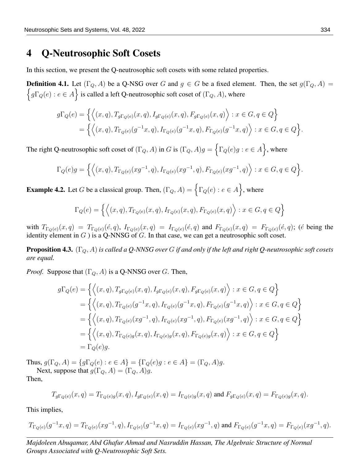#### 4 Q-Neutrosophic Soft Cosets

In this section, we present the Q-neutrosophic soft cosets with some related properties.

**Definition 4.1.** Let  $(\Gamma_Q, A)$  be a Q-NSG over G and  $g \in G$  be a fixed element. Then, the set  $g(\Gamma_Q, A)$  =  $\{g\Gamma_Q(e) : e \in A\}$  is called a left Q-neutrosophic soft coset of  $(\Gamma_Q, A)$ , where

$$
g\Gamma_Q(e) = \left\{ \left\langle (x,q), T_{g\Gamma_Q(e)}(x,q), I_{g\Gamma_Q(e)}(x,q), F_{g\Gamma_Q(e)}(x,q) \right\rangle : x \in G, q \in Q \right\}
$$
  
= 
$$
\left\{ \left\langle (x,q), T_{\Gamma_Q(e)}(g^{-1}x,q), I_{\Gamma_Q(e)}(g^{-1}x,q), F_{\Gamma_Q(e)}(g^{-1}x,q) \right\rangle : x \in G, q \in Q \right\}.
$$

The right Q-neutrosophic soft coset of  $(\Gamma_Q, A)$  in G is  $(\Gamma_Q, A)g = \{ \Gamma_Q(e)g : e \in A \}$ , where

$$
\Gamma_Q(e)g = \left\{ \left\langle (x,q), T_{\Gamma_Q(e)}(xg^{-1}, q), I_{\Gamma_Q(e)}(xg^{-1}, q), F_{\Gamma_Q(e)}(xg^{-1}, q) \right\rangle : x \in G, q \in Q \right\}.
$$

**Example 4.2.** Let G be a classical group. Then,  $(\Gamma_Q, A) = \{ \Gamma_Q(e) : e \in A \}$ , where

$$
\Gamma_Q(e) = \left\{ \left\langle (x, q), T_{\Gamma_Q(e)}(x, q), I_{\Gamma_Q(e)}(x, q), F_{\Gamma_Q(e)}(x, q) \right\rangle : x \in G, q \in Q \right\}
$$

with  $T_{\Gamma_Q(e)}(x,q) = T_{\Gamma_Q(e)}(\acute{e},q)$ ,  $I_{\Gamma_Q(e)}(x,q) = I_{\Gamma_Q(e)}(\acute{e},q)$  and  $F_{\Gamma_Q(e)}(x,q) = F_{\Gamma_Q(e)}(\acute{e},q)$ ; ( $\acute{e}$  being the identity element in  $G$ ) is a Q-NNSG of  $G$ . In that case, we can get a neutrosophic soft coset.

Proposition 4.3. (ΓQ, A) *is called a Q-NNSG over* G *if and only if the left and right Q-neutrosophic soft cosets are equal.*

*Proof.* Suppose that  $(\Gamma_Q, A)$  is a Q-NNSG over G. Then,

$$
g\Gamma_Q(e) = \left\{ \left\langle (x, q), T_{g\Gamma_Q(e)}(x, q), I_{g\Gamma_Q(e)}(x, q), F_{g\Gamma_Q(e)}(x, q) \right\rangle : x \in G, q \in Q \right\}
$$
  
\n
$$
= \left\{ \left\langle (x, q), T_{\Gamma_Q(e)}(g^{-1}x, q), I_{\Gamma_Q(e)}(g^{-1}x, q), F_{\Gamma_Q(e)}(g^{-1}x, q) \right\rangle : x \in G, q \in Q \right\}
$$
  
\n
$$
= \left\{ \left\langle (x, q), T_{\Gamma_Q(e)}(xg^{-1}, q), I_{\Gamma_Q(e)}(xg^{-1}, q), F_{\Gamma_Q(e)}(xg^{-1}, q) \right\rangle : x \in G, q \in Q \right\}
$$
  
\n
$$
= \left\{ \left\langle (x, q), T_{\Gamma_Q(e)g}(x, q), I_{\Gamma_Q(e)g}(x, q), F_{\Gamma_Q(e)g}(x, q) \right\rangle : x \in G, q \in Q \right\}
$$
  
\n
$$
= \Gamma_Q(e)g.
$$

Thus,  $g(\Gamma_Q, A) = \{g\Gamma_Q(e) : e \in A\} = \{\Gamma_Q(e)g : e \in A\} = (\Gamma_Q, A)g.$ Next, suppose that  $g(\Gamma_Q, A) = (\Gamma_Q, A)g$ .

Then,

$$
T_{g\Gamma_Q(e)}(x,q) = T_{\Gamma_Q(e)g}(x,q), I_{g\Gamma_Q(e)}(x,q) = I_{\Gamma_Q(e)g}(x,q) \text{ and } F_{g\Gamma_Q(e)}(x,q) = F_{\Gamma_Q(e)g}(x,q).
$$

This implies,

$$
T_{\Gamma_Q(e)}(g^{-1}x, q) = T_{\Gamma_Q(e)}(xg^{-1}, q), I_{\Gamma_Q(e)}(g^{-1}x, q) = I_{\Gamma_Q(e)}(xg^{-1}, q) \text{ and } F_{\Gamma_Q(e)}(g^{-1}x, q) = F_{\Gamma_Q(e)}(xg^{-1}, q).
$$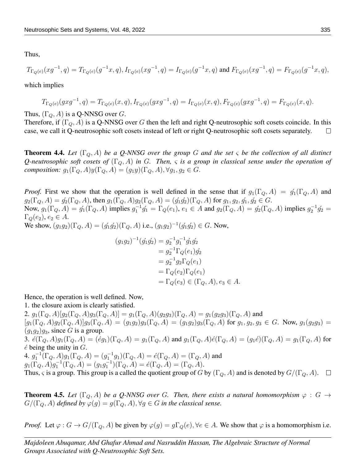Thus,

$$
T_{\Gamma_Q(e)}(xg^{-1},q) = T_{\Gamma_Q(e)}(g^{-1}x,q), I_{\Gamma_Q(e)}(xg^{-1},q) = I_{\Gamma_Q(e)}(g^{-1}x,q) \text{ and } F_{\Gamma_Q(e)}(xg^{-1},q) = F_{\Gamma_Q(e)}(g^{-1}x,q),
$$

which implies

$$
T_{\Gamma_Q(e)}(gxg^{-1},q) = T_{\Gamma_Q(e)}(x,q), I_{\Gamma_Q(e)}(gxg^{-1},q) = I_{\Gamma_Q(e)}(x,q), F_{\Gamma_Q(e)}(gxg^{-1},q) = F_{\Gamma_Q(e)}(x,q).
$$

Thus,  $(\Gamma_Q, A)$  is a Q-NNSG over G.

Therefore, if  $(\Gamma_Q, A)$  is a Q-NNSG over G then the left and right Q-neutrosophic soft cosets coincide. In this case, we call it Q-neutrosophic soft cosets instead of left or right Q-neutrosophic soft cosets separately.  $\Box$ 

**Theorem 4.4.** Let  $(\Gamma_Q, A)$  be a Q-NNSG over the group G and the set  $\varsigma$  be the collection of all distinct *Q-neutrosophic soft cosets of*  $(\Gamma_0, A)$  *in* G. Then,  $\varsigma$  *is a group in classical sense under the operation of composition:*  $g_1(\Gamma_Q, A)y(\Gamma_Q, A) = (g_1y)(\Gamma_Q, A), \forall g_1, g_2 \in G$ .

*Proof.* First we show that the operation is well defined in the sense that if  $g_1(\Gamma_Q, A) = \dot{g_1}(\Gamma_Q, A)$  and  $g_2(\Gamma_Q, A) = \acute{g}_2(\Gamma_Q, A)$ , then  $g_1(\Gamma_Q, A)g_2(\Gamma_Q, A) = (\acute{g}_1\acute{g}_2)(\Gamma_Q, A)$  for  $g_1, g_2, \acute{g}_1, \acute{g}_2 \in G$ . Now,  $g_1(\Gamma_Q, A) = \dot{g_1}(\Gamma_Q, A)$  implies  $g_1^{-1}\dot{g_1} = \Gamma_Q(e_1), e_1 \in A$  and  $g_2(\Gamma_Q, A) = \dot{g_2}(\Gamma_Q, A)$  implies  $g_2^{-1}\dot{g_2} =$  $\Gamma_{Q}(e_2), e_2 \in A.$ We show,  $(g_1g_2)(\Gamma_Q, A) = (g'_1g'_2)(\Gamma_Q, A)$  i.e.,  $(g_1g_2)^{-1}(g'_1g'_2) \in G$ . Now,

$$
(g_1g_2)^{-1}(g'_1g'_2) = g_2^{-1}g_1^{-1}g'_1g'_2
$$
  
=  $g_2^{-1}\Gamma_Q(e_1)g'_2$   
=  $g_2^{-1}g_2\Gamma_Q(e_1)$   
=  $\Gamma_Q(e_2)\Gamma_Q(e_1)$   
=  $\Gamma_Q(e_3) \in (\Gamma_Q, A), e_3 \in A.$ 

Hence, the operation is well defined. Now,

1. the closure axiom is clearly satisfied.

2.  $g_1(\Gamma_Q, A)[g_2(\Gamma_Q, A)g_3(\Gamma_Q, A)] = g_1(\Gamma_Q, A)(g_2g_3)(\Gamma_Q, A) = g_1(g_2g_3)(\Gamma_Q, A)$  and  $[g_1(\Gamma_Q, A)g_2(\Gamma_Q, A)]g_3(\Gamma_Q, A) = (g_1g_2)g_3(\Gamma_Q, A) = (g_1g_2)g_3(\Gamma_Q, A)$  for  $g_1, g_2, g_3 \in G$ . Now,  $g_1(g_2g_3) =$  $(q_1q_2)q_3$ , since G is a group. 3.  $\ell(\Gamma_Q, A)g_1(\Gamma_Q, A) = (\ell g_1)(\Gamma_Q, A) = g_1(\Gamma_Q, A)$  and  $g_1(\Gamma_Q, A)\ell(\Gamma_Q, A) = (g_1 \ell)(\Gamma_Q, A) = g_1(\Gamma_Q, A)$  for  $\acute{e}$  being the unity in  $G$ . 4.  $g_1^{-1}(\Gamma_Q, A)g_1(\Gamma_Q, A) = (g_1^{-1}g_1)(\Gamma_Q, A) = \acute{e}(\Gamma_Q, A) = (\Gamma_Q, A)$  and  $g_1(\Gamma_Q, A)g_1^{-1}(\Gamma_Q, A) = (g_1g_1^{-1})(\Gamma_Q, A) = \acute{e}(\Gamma_Q, A) = (\Gamma_Q, A).$ Thus,  $\varsigma$  is a group. This group is a called the quotient group of G by  $(\Gamma_Q, A)$  and is denoted by  $G/(\Gamma_Q, A)$ .  $\square$ 

**Theorem 4.5.** Let  $(\Gamma_0, A)$  be a Q-NNSG over G. Then, there exists a natural homomorphism  $\varphi : G \to$  $G/(\Gamma_Q, A)$  *defined by*  $\varphi(g) = g(\Gamma_Q, A), \forall g \in G$  *in the classical sense.* 

*Proof.* Let  $\varphi$  :  $G \to G/(\Gamma_Q, A)$  be given by  $\varphi(g) = g\Gamma_Q(e)$ ,  $\forall e \in A$ . We show that  $\varphi$  is a homomorphism i.e.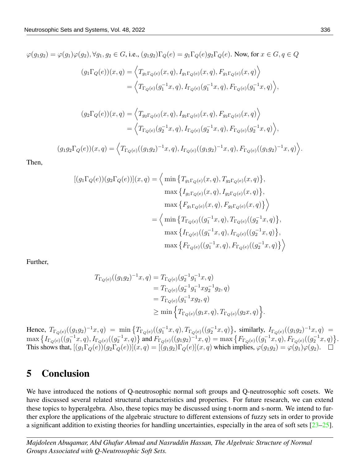$\varphi(q_1q_2) = \varphi(q_1)\varphi(q_2), \forall q_1, q_2 \in G$ , i.e.,  $(q_1q_2)\Gamma_O(e) = q_1\Gamma_O(e)q_2\Gamma_O(e)$ . Now, for  $x \in G, q \in Q$  $(g_1 \Gamma_Q(e))(x,q) = \langle T_{g_1 \Gamma_Q(e)}(x,q), I_{g_1 \Gamma_Q(e)}(x,q), F_{g_1 \Gamma_Q(e)}(x,q) \rangle$  $=\langle T_{\Gamma_Q(e)}(g_1^{-1}x,q), I_{\Gamma_Q(e)}(g_1^{-1}x,q), F_{\Gamma_Q(e)}(g_1^{-1}x,q) \rangle,$  $(g_2 \Gamma_Q(e))(x,q) = \langle T_{g_2 \Gamma_Q(e)}(x,q), I_{g_2 \Gamma_Q(e)}(x,q), F_{g_2 \Gamma_Q(e)}(x,q) \rangle$  $=\langle T_{\Gamma_Q(e)}(g_2^{-1}x,q), I_{\Gamma_Q(e)}(g_2^{-1}x,q), F_{\Gamma_Q(e)}(g_2^{-1}x,q) \rangle,$  $(g_1g_2\Gamma_Q(e))(x,q) = \left\langle T_{\Gamma_Q(e)}((g_1g_2)^{-1}x,q), I_{\Gamma_Q(e)}((g_1g_2)^{-1}x,q), F_{\Gamma_Q(e)}((g_1g_2)^{-1}x,q) \right\rangle.$ 

Then,

$$
[(g_1\Gamma_Q(e))(g_2\Gamma_Q(e))](x,q) = \left\langle \min\left\{T_{g_1\Gamma_Q(e)}(x,q), T_{g_2\Gamma_Q(e)}(x,q)\right\},\right.\n\max\left\{I_{g_1\Gamma_Q(e)}(x,q), I_{g_2\Gamma_Q(e)}(x,q)\right\},\n\max\left\{F_{g_1\Gamma_Q(e)}(x,q), F_{g_2\Gamma_Q(e)}(x,q)\right\}\right\rangle
$$
\n
$$
= \left\langle \min\left\{T_{\Gamma_Q(e)}((g_1^{-1}x,q), T_{\Gamma_Q(e)}((g_2^{-1}x,q))\right\},\right.\n\max\left\{I_{\Gamma_Q(e)}((g_1^{-1}x,q), I_{\Gamma_Q(e)}((g_2^{-1}x,q))\right\},\n\max\left\{F_{\Gamma_Q(e)}((g_1^{-1}x,q), F_{\Gamma_Q(e)}((g_2^{-1}x,q))\right\}\right\rangle
$$

Further,

$$
T_{\Gamma_Q(e)}((g_1g_2)^{-1}x, q) = T_{\Gamma_Q(e)}(g_2^{-1}g_1^{-1}x, q)
$$
  
= 
$$
T_{\Gamma_Q(e)}(g_2^{-1}g_1^{-1}xg_2^{-1}g_2, q)
$$
  
= 
$$
T_{\Gamma_Q(e)}(g_1^{-1}xg_2, q)
$$
  

$$
\geq \min \left\{ T_{\Gamma_Q(e)}(g_1x, q), T_{\Gamma_Q(e)}(g_2x, q) \right\}.
$$

Hence,  $T_{\Gamma_Q(e)}((g_1g_2)^{-1}x,q) = \min \{T_{\Gamma_Q(e)}((g_1^{-1}x,q),T_{\Gamma_Q(e)}((g_2^{-1}x,q))\}, \text{ similarly, } I_{\Gamma_Q(e)}((g_1g_2)^{-1}x,q) =$  $\max\big\{I_{\Gamma_Q(e)}((g_1^{-1}x,q),I_{\Gamma_Q(e)}((g_2^{-1}x,q)\big\}\text{ and }F_{\Gamma_Q(e)}((g_1g_2)^{-1}x,q)=\max\big\{F_{\Gamma_Q(e)}((g_1^{-1}x,q),F_{\Gamma_Q(e)}((g_2^{-1}x,q)\big\}.$ This shows that,  $[(g_1\Gamma_Q(e))(g_2\Gamma_Q(e))](x,q) = [(g_1g_2)\Gamma_Q(e)](x,q)$  which implies,  $\varphi(g_1g_2) = \varphi(g_1)\varphi(g_2)$ .

#### 5 Conclusion

We have introduced the notions of Q-neutrosophic normal soft groups and Q-neutrosophic soft cosets. We have discussed several related structural characteristics and properties. For future research, we can extend these topics to hyperalgebra. Also, these topics may be discussed using t-norm and s-norm. We intend to further explore the applications of the algebraic structure to different extensions of fuzzy sets in order to provide a significant addition to existing theories for handling uncertainties, especially in the area of soft sets  $[23-25]$  $[23-25]$ .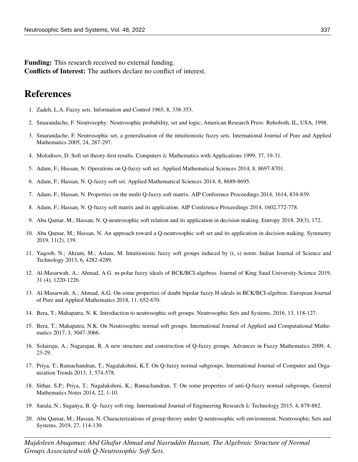Funding: This research received no external funding. Conflicts of Interest: The authors declare no conflict of interest.

## References

- <span id="page-9-0"></span>1. Zadeh, L.A. Fuzzy sets. Information and Control 1965, 8, 338-353.
- <span id="page-9-1"></span>2. Smarandache, F. Neutrosophy: Neutrosophic probability, set and logic; American Research Press: Rehoboth, IL, USA, 1998.
- <span id="page-9-2"></span>3. Smarandache, F. Neutrosophic set, a generalisation of the intuitionistic fuzzy sets. International Journal of Pure and Applied Mathematics 2005, 24, 287-297.
- <span id="page-9-3"></span>4. Molodtsov, D. Soft set theory-first results. Computers & Mathematics with Applications 1999, 37, 19-31.
- <span id="page-9-4"></span>5. Adam, F.; Hassan, N. Operations on Q-fuzzy soft set. Applied Mathematical Sciences 2014, 8, 8697-8701.
- 6. Adam, F.; Hassan, N. Q-fuzzy soft set. Applied Mathematical Sciences 2014, 8, 8689-8695.
- 7. Adam, F.; Hassan, N. Properties on the multi Q-fuzzy soft matrix. AIP Conference Proceedings 2014, 1614, 834-839.
- <span id="page-9-5"></span>8. Adam, F.; Hassan, N. Q-fuzzy soft matrix and its application. AIP Conference Proceedings 2014, 1602,772-778.
- <span id="page-9-6"></span>9. Abu Qamar, M.; Hassan, N. Q-neutrosophic soft relation and its application in decision making. Entropy 2018, 20(3), 172.
- <span id="page-9-7"></span>10. Abu Qamar, M.; Hassan, N. An approach toward a Q-neutrosophic soft set and its application in decision making. Symmetry 2019, 11(2), 139.
- <span id="page-9-8"></span>11. Yaqoob, N.; Akram, M.; Aslam, M. Intuitionistic fuzzy soft groups induced by (t, s) norm. Indian Journal of Science and Technology 2013, 6, 4282-4289.
- 12. Al-Masarwah, A.; Ahmad, A.G. m-polar fuzzy ideals of BCK/BCI-algebras. Journal of King Saud University-Science 2019, 31 (4), 1220-1226.
- <span id="page-9-9"></span>13. Al-Masarwah, A.; Ahmad, A.G. On some properties of doubt bipolar fuzzy H-ideals in BCK/BCI-algebras. European Journal of Pure and Applied Mathematics 2018, 11, 652-670.
- <span id="page-9-10"></span>14. Bera, T.; Mahapatra, N. K. Introduction to neutrosophic soft groups. Neutrosophic Sets and Systems, 2016, 13, 118-127.
- <span id="page-9-11"></span>15. Bera, T.; Mahapatra, N.K. On Neutrosophic normal soft groups. International Journal of Applied and Computational Mathematics 2017, 3, 3047-3066.
- <span id="page-9-12"></span>16. Solairaju, A.; Nagarajan, R. A new structure and construction of Q-fuzzy groups. Advances in Fuzzy Mathematics 2009, 4, 23-29.
- <span id="page-9-13"></span>17. Priya, T.; Ramachandran, T.; Nagalakshmi, K.T. On Q-fuzzy normal subgroups. International Journal of Computer and Organization Trends 2013, 3, 574-578.
- <span id="page-9-14"></span>18. Sithar, S.P.; Priya, T.; Nagalakshmi, K.; Ramachandran, T. On some properties of anti-Q-fuzzy normal subgroups. General Mathematics Notes 2014, 22, 1-10.
- <span id="page-9-15"></span>19. Sarala, N.; Suganya, B. Q- fuzzy soft ring. International Journal of Engineering Research & Technology 2015, 4, 879-882.
- <span id="page-9-16"></span>20. Abu Qamar, M.; Hassan, N. Characterizations of group theory under Q-neutrosophic soft environment. Neutrosophic Sets and Systems, 2019, 27, 114-130.